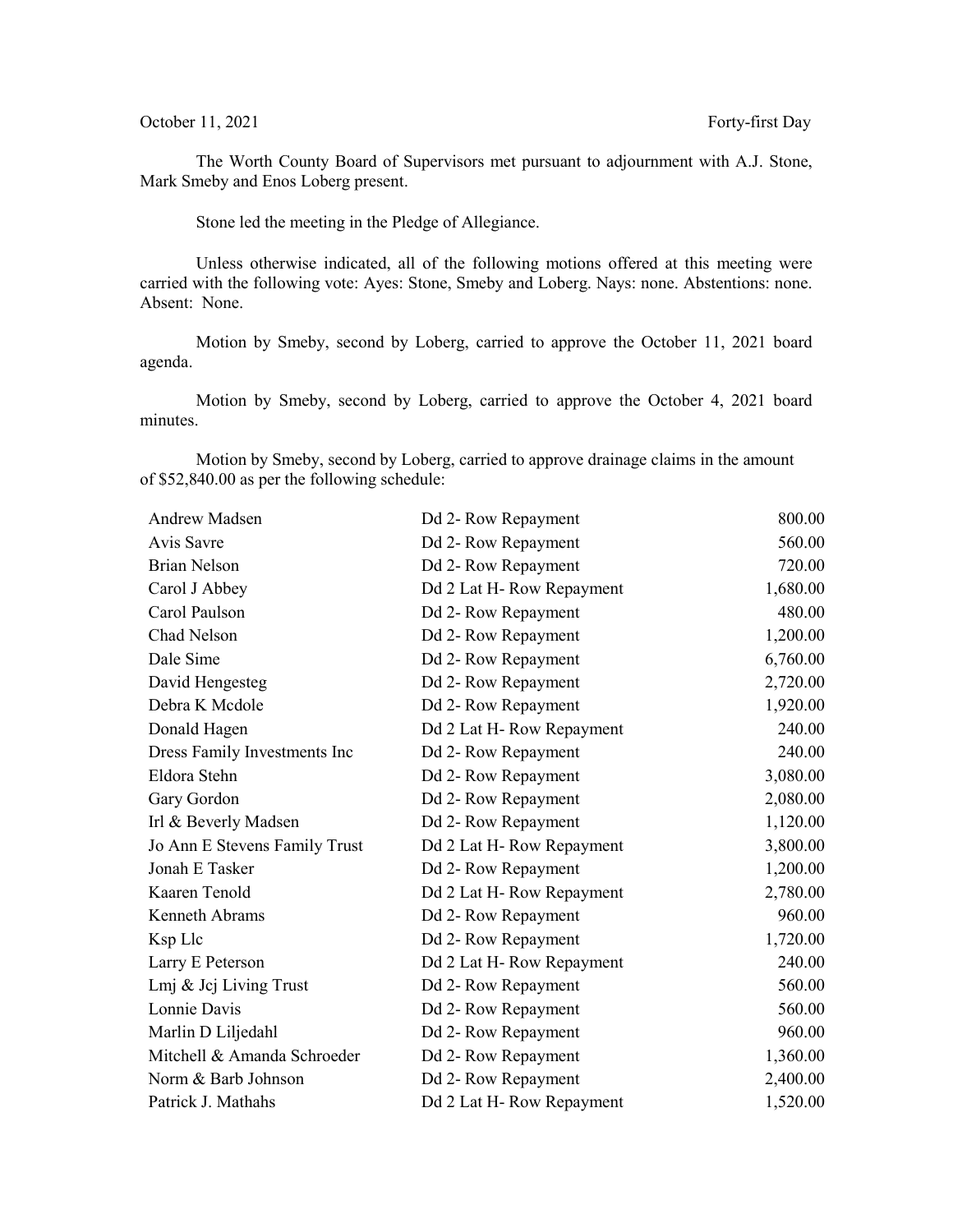## October 11, 2021 Forty-first Day

The Worth County Board of Supervisors met pursuant to adjournment with A.J. Stone, Mark Smeby and Enos Loberg present.

Stone led the meeting in the Pledge of Allegiance.

Unless otherwise indicated, all of the following motions offered at this meeting were carried with the following vote: Ayes: Stone, Smeby and Loberg. Nays: none. Abstentions: none. Absent: None.

Motion by Smeby, second by Loberg, carried to approve the October 11, 2021 board agenda.

Motion by Smeby, second by Loberg, carried to approve the October 4, 2021 board minutes.

Motion by Smeby, second by Loberg, carried to approve drainage claims in the amount of \$52,840.00 as per the following schedule:

| Andrew Madsen                 | Dd 2- Row Repayment      | 800.00   |
|-------------------------------|--------------------------|----------|
| Avis Savre                    | Dd 2- Row Repayment      | 560.00   |
| <b>Brian Nelson</b>           | Dd 2- Row Repayment      | 720.00   |
| Carol J Abbey                 | Dd 2 Lat H-Row Repayment | 1,680.00 |
| Carol Paulson                 | Dd 2- Row Repayment      | 480.00   |
| Chad Nelson                   | Dd 2- Row Repayment      | 1,200.00 |
| Dale Sime                     | Dd 2- Row Repayment      | 6,760.00 |
| David Hengesteg               | Dd 2- Row Repayment      | 2,720.00 |
| Debra K Mcdole                | Dd 2- Row Repayment      | 1,920.00 |
| Donald Hagen                  | Dd 2 Lat H-Row Repayment | 240.00   |
| Dress Family Investments Inc  | Dd 2- Row Repayment      | 240.00   |
| Eldora Stehn                  | Dd 2- Row Repayment      | 3,080.00 |
| Gary Gordon                   | Dd 2- Row Repayment      | 2,080.00 |
| Irl & Beverly Madsen          | Dd 2- Row Repayment      | 1,120.00 |
| Jo Ann E Stevens Family Trust | Dd 2 Lat H-Row Repayment | 3,800.00 |
| Jonah E Tasker                | Dd 2- Row Repayment      | 1,200.00 |
| Kaaren Tenold                 | Dd 2 Lat H-Row Repayment | 2,780.00 |
| Kenneth Abrams                | Dd 2- Row Repayment      | 960.00   |
| Ksp Llc                       | Dd 2- Row Repayment      | 1,720.00 |
| Larry E Peterson              | Dd 2 Lat H-Row Repayment | 240.00   |
| Lmj & Jcj Living Trust        | Dd 2- Row Repayment      | 560.00   |
| Lonnie Davis                  | Dd 2- Row Repayment      | 560.00   |
| Marlin D Liljedahl            | Dd 2- Row Repayment      | 960.00   |
| Mitchell & Amanda Schroeder   | Dd 2- Row Repayment      | 1,360.00 |
| Norm & Barb Johnson           | Dd 2- Row Repayment      | 2,400.00 |
| Patrick J. Mathahs            | Dd 2 Lat H-Row Repayment | 1,520.00 |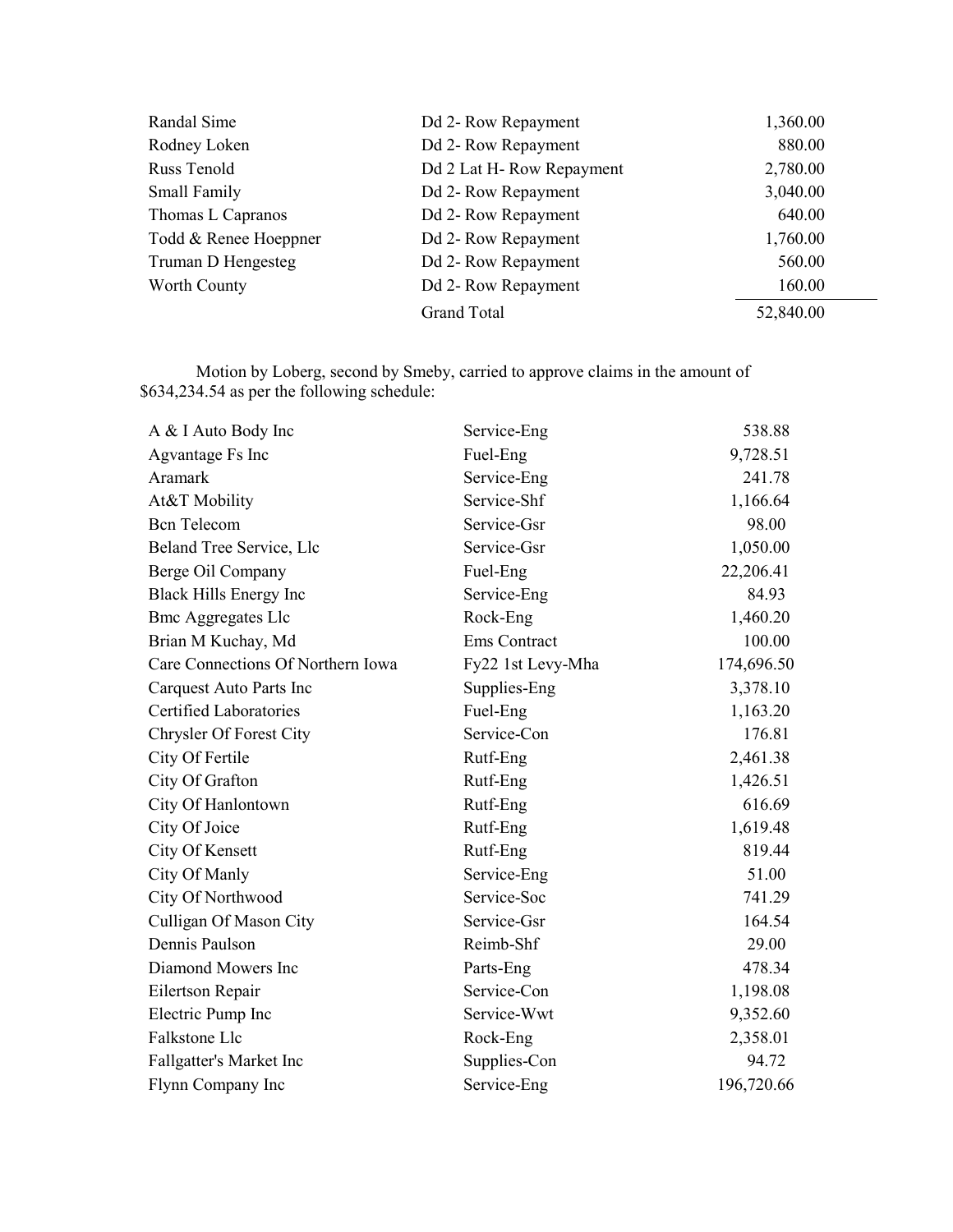| Randal Sime           | Dd 2- Row Repayment      | 1,360.00  |
|-----------------------|--------------------------|-----------|
| Rodney Loken          | Dd 2- Row Repayment      | 880.00    |
| Russ Tenold           | Dd 2 Lat H-Row Repayment | 2,780.00  |
| Small Family          | Dd 2- Row Repayment      | 3,040.00  |
| Thomas L Capranos     | Dd 2- Row Repayment      | 640.00    |
| Todd & Renee Hoeppner | Dd 2- Row Repayment      | 1,760.00  |
| Truman D Hengesteg    | Dd 2- Row Repayment      | 560.00    |
| Worth County          | Dd 2- Row Repayment      | 160.00    |
|                       | <b>Grand Total</b>       | 52,840.00 |

Motion by Loberg, second by Smeby, carried to approve claims in the amount of \$634,234.54 as per the following schedule:

| A & I Auto Body Inc               | Service-Eng       | 538.88     |
|-----------------------------------|-------------------|------------|
| Agvantage Fs Inc                  | Fuel-Eng          | 9,728.51   |
| Aramark                           | Service-Eng       | 241.78     |
| At&T Mobility                     | Service-Shf       | 1,166.64   |
| <b>Bcn</b> Telecom                | Service-Gsr       | 98.00      |
| Beland Tree Service, Llc          | Service-Gsr       | 1,050.00   |
| Berge Oil Company                 | Fuel-Eng          | 22,206.41  |
| <b>Black Hills Energy Inc</b>     | Service-Eng       | 84.93      |
| <b>Bmc Aggregates Llc</b>         | Rock-Eng          | 1,460.20   |
| Brian M Kuchay, Md                | Ems Contract      | 100.00     |
| Care Connections Of Northern Iowa | Fy22 1st Levy-Mha | 174,696.50 |
| Carquest Auto Parts Inc           | Supplies-Eng      | 3,378.10   |
| Certified Laboratories            | Fuel-Eng          | 1,163.20   |
| <b>Chrysler Of Forest City</b>    | Service-Con       | 176.81     |
| City Of Fertile                   | Rutf-Eng          | 2,461.38   |
| City Of Grafton                   | Rutf-Eng          | 1,426.51   |
| City Of Hanlontown                | Rutf-Eng          | 616.69     |
| City Of Joice                     | Rutf-Eng          | 1,619.48   |
| City Of Kensett                   | Rutf-Eng          | 819.44     |
| City Of Manly                     | Service-Eng       | 51.00      |
| City Of Northwood                 | Service-Soc       | 741.29     |
| Culligan Of Mason City            | Service-Gsr       | 164.54     |
| Dennis Paulson                    | Reimb-Shf         | 29.00      |
| Diamond Mowers Inc                | Parts-Eng         | 478.34     |
| Eilertson Repair                  | Service-Con       | 1,198.08   |
| Electric Pump Inc                 | Service-Wwt       | 9,352.60   |
| Falkstone Llc                     | Rock-Eng          | 2,358.01   |
| Fallgatter's Market Inc           | Supplies-Con      | 94.72      |
| Flynn Company Inc                 | Service-Eng       | 196,720.66 |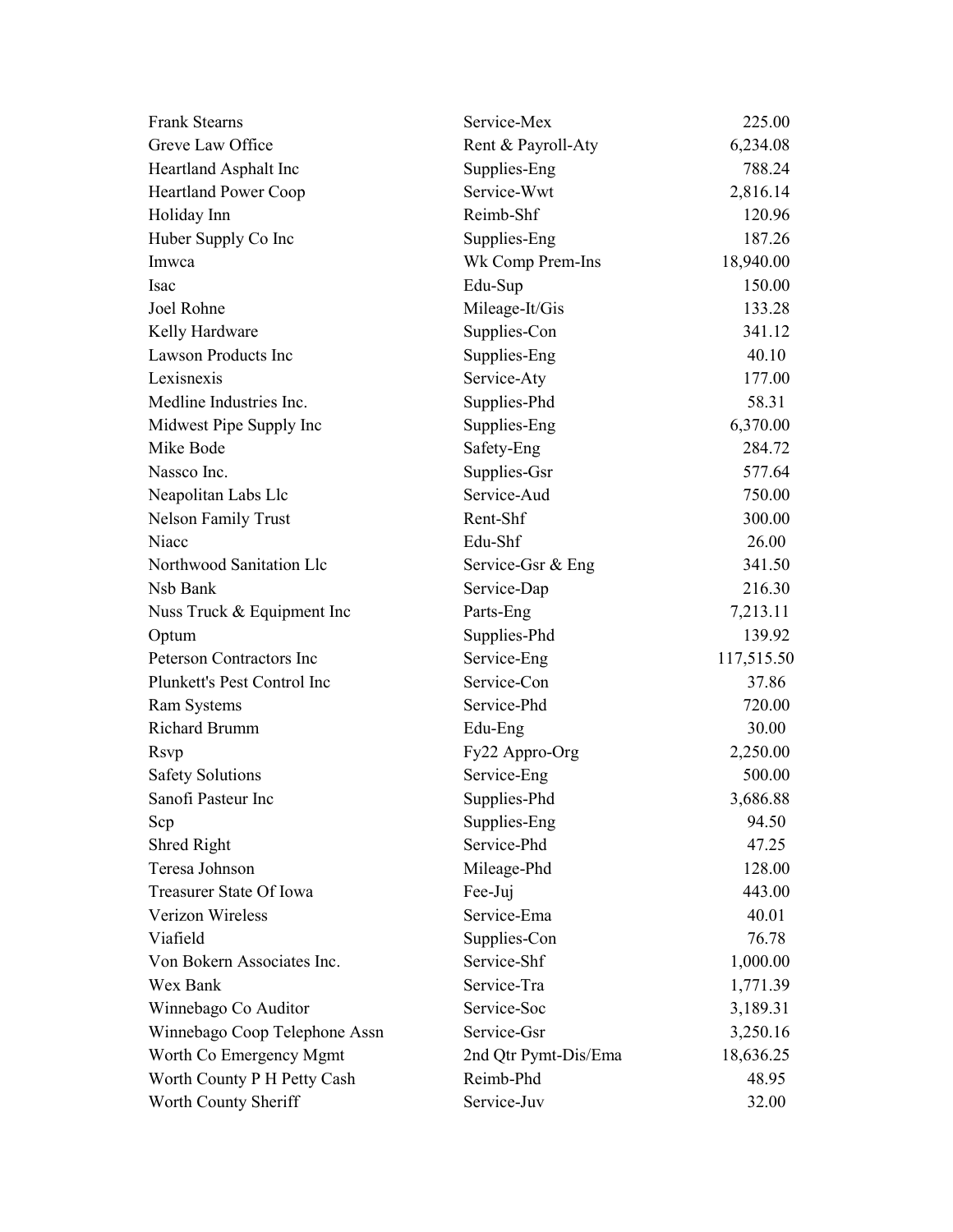| <b>Frank Stearns</b>          | Service-Mex          | 225.00     |
|-------------------------------|----------------------|------------|
| Greve Law Office              | Rent & Payroll-Aty   | 6,234.08   |
| Heartland Asphalt Inc         | Supplies-Eng         | 788.24     |
| <b>Heartland Power Coop</b>   | Service-Wwt          | 2,816.14   |
| Holiday Inn                   | Reimb-Shf            | 120.96     |
| Huber Supply Co Inc           | Supplies-Eng         | 187.26     |
| Imwca                         | Wk Comp Prem-Ins     | 18,940.00  |
| <b>Isac</b>                   | Edu-Sup              | 150.00     |
| Joel Rohne                    | Mileage-It/Gis       | 133.28     |
| Kelly Hardware                | Supplies-Con         | 341.12     |
| Lawson Products Inc           | Supplies-Eng         | 40.10      |
| Lexisnexis                    | Service-Aty          | 177.00     |
| Medline Industries Inc.       | Supplies-Phd         | 58.31      |
| Midwest Pipe Supply Inc       | Supplies-Eng         | 6,370.00   |
| Mike Bode                     | Safety-Eng           | 284.72     |
| Nassco Inc.                   | Supplies-Gsr         | 577.64     |
| Neapolitan Labs Llc           | Service-Aud          | 750.00     |
| <b>Nelson Family Trust</b>    | Rent-Shf             | 300.00     |
| Niacc                         | Edu-Shf              | 26.00      |
| Northwood Sanitation Llc      | Service-Gsr & Eng    | 341.50     |
| Nsb Bank                      | Service-Dap          | 216.30     |
| Nuss Truck & Equipment Inc    | Parts-Eng            | 7,213.11   |
| Optum                         | Supplies-Phd         | 139.92     |
| Peterson Contractors Inc      | Service-Eng          | 117,515.50 |
| Plunkett's Pest Control Inc   | Service-Con          | 37.86      |
| Ram Systems                   | Service-Phd          | 720.00     |
| Richard Brumm                 | Edu-Eng              | 30.00      |
| Rsvp                          | Fy22 Appro-Org       | 2,250.00   |
| <b>Safety Solutions</b>       | Service-Eng          | 500.00     |
| Sanofi Pasteur Inc            | Supplies-Phd         | 3,686.88   |
| Scp                           | Supplies-Eng         | 94.50      |
| Shred Right                   | Service-Phd          | 47.25      |
| Teresa Johnson                | Mileage-Phd          | 128.00     |
| Treasurer State Of Iowa       | Fee-Juj              | 443.00     |
| Verizon Wireless              | Service-Ema          | 40.01      |
| Viafield                      | Supplies-Con         | 76.78      |
| Von Bokern Associates Inc.    | Service-Shf          | 1,000.00   |
| Wex Bank                      | Service-Tra          | 1,771.39   |
| Winnebago Co Auditor          | Service-Soc          | 3,189.31   |
| Winnebago Coop Telephone Assn | Service-Gsr          | 3,250.16   |
| Worth Co Emergency Mgmt       | 2nd Qtr Pymt-Dis/Ema | 18,636.25  |
| Worth County P H Petty Cash   | Reimb-Phd            | 48.95      |
| Worth County Sheriff          | Service-Juv          | 32.00      |